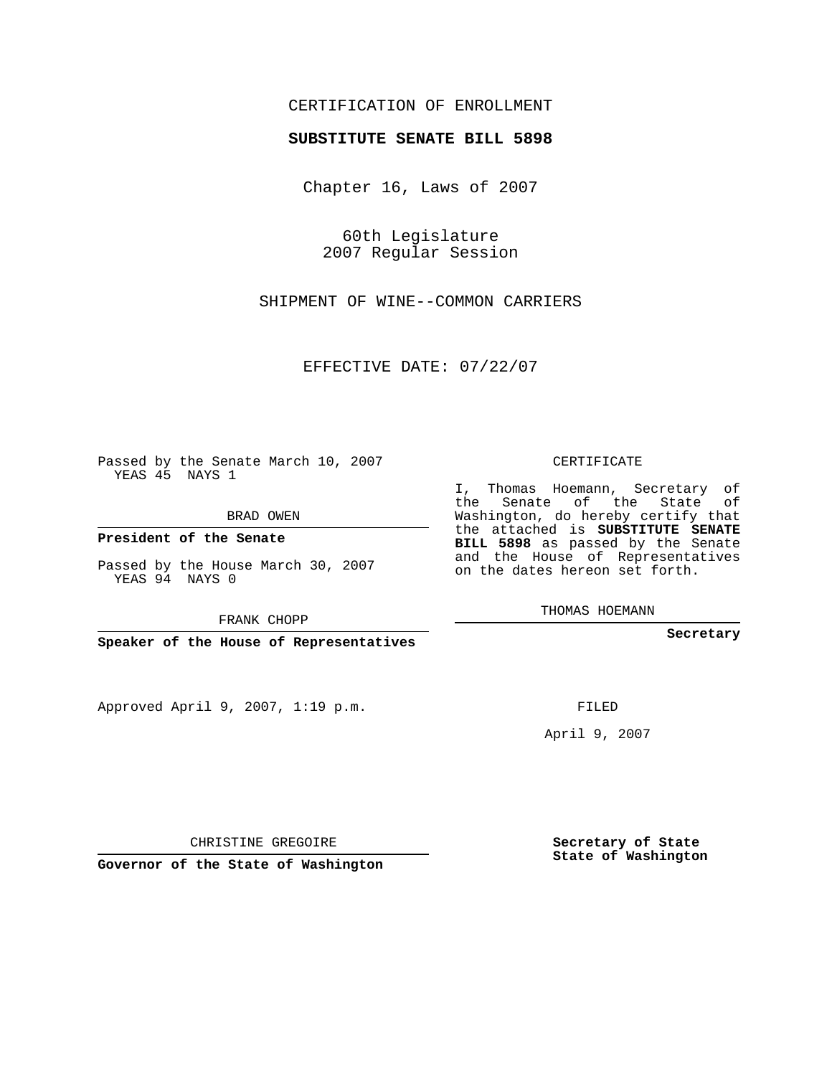## CERTIFICATION OF ENROLLMENT

## **SUBSTITUTE SENATE BILL 5898**

Chapter 16, Laws of 2007

60th Legislature 2007 Regular Session

SHIPMENT OF WINE--COMMON CARRIERS

EFFECTIVE DATE: 07/22/07

Passed by the Senate March 10, 2007 YEAS 45 NAYS 1

BRAD OWEN

**President of the Senate**

Passed by the House March 30, 2007 YEAS 94 NAYS 0

FRANK CHOPP

**Speaker of the House of Representatives**

Approved April 9, 2007, 1:19 p.m.

CERTIFICATE

I, Thomas Hoemann, Secretary of the Senate of the State of Washington, do hereby certify that the attached is **SUBSTITUTE SENATE BILL 5898** as passed by the Senate and the House of Representatives on the dates hereon set forth.

THOMAS HOEMANN

**Secretary**

FILED

April 9, 2007

CHRISTINE GREGOIRE

**Governor of the State of Washington**

**Secretary of State State of Washington**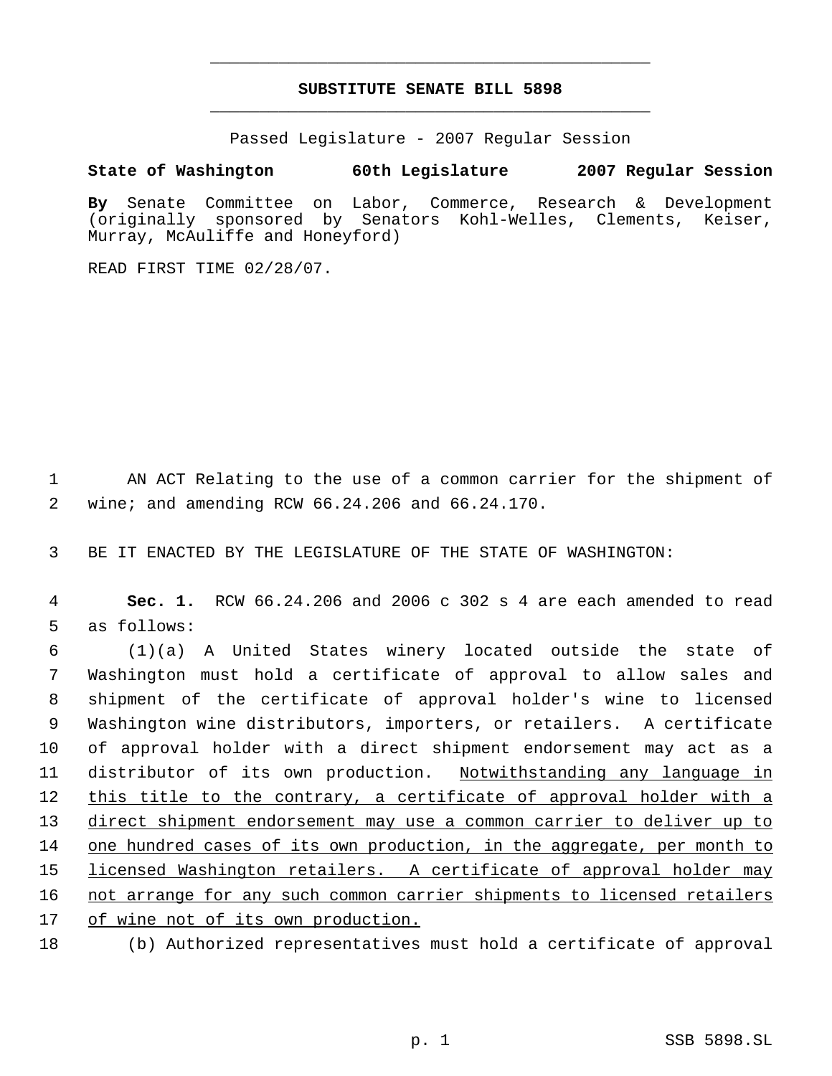## **SUBSTITUTE SENATE BILL 5898** \_\_\_\_\_\_\_\_\_\_\_\_\_\_\_\_\_\_\_\_\_\_\_\_\_\_\_\_\_\_\_\_\_\_\_\_\_\_\_\_\_\_\_\_\_

\_\_\_\_\_\_\_\_\_\_\_\_\_\_\_\_\_\_\_\_\_\_\_\_\_\_\_\_\_\_\_\_\_\_\_\_\_\_\_\_\_\_\_\_\_

Passed Legislature - 2007 Regular Session

## **State of Washington 60th Legislature 2007 Regular Session**

**By** Senate Committee on Labor, Commerce, Research & Development (originally sponsored by Senators Kohl-Welles, Clements, Keiser, Murray, McAuliffe and Honeyford)

READ FIRST TIME 02/28/07.

 1 AN ACT Relating to the use of a common carrier for the shipment of 2 wine; and amending RCW 66.24.206 and 66.24.170.

3 BE IT ENACTED BY THE LEGISLATURE OF THE STATE OF WASHINGTON:

 4 **Sec. 1.** RCW 66.24.206 and 2006 c 302 s 4 are each amended to read 5 as follows:

 (1)(a) A United States winery located outside the state of Washington must hold a certificate of approval to allow sales and shipment of the certificate of approval holder's wine to licensed Washington wine distributors, importers, or retailers. A certificate of approval holder with a direct shipment endorsement may act as a 11 distributor of its own production. Notwithstanding any language in 12 this title to the contrary, a certificate of approval holder with a 13 direct shipment endorsement may use a common carrier to deliver up to one hundred cases of its own production, in the aggregate, per month to 15 licensed Washington retailers. A certificate of approval holder may not arrange for any such common carrier shipments to licensed retailers of wine not of its own production.

18 (b) Authorized representatives must hold a certificate of approval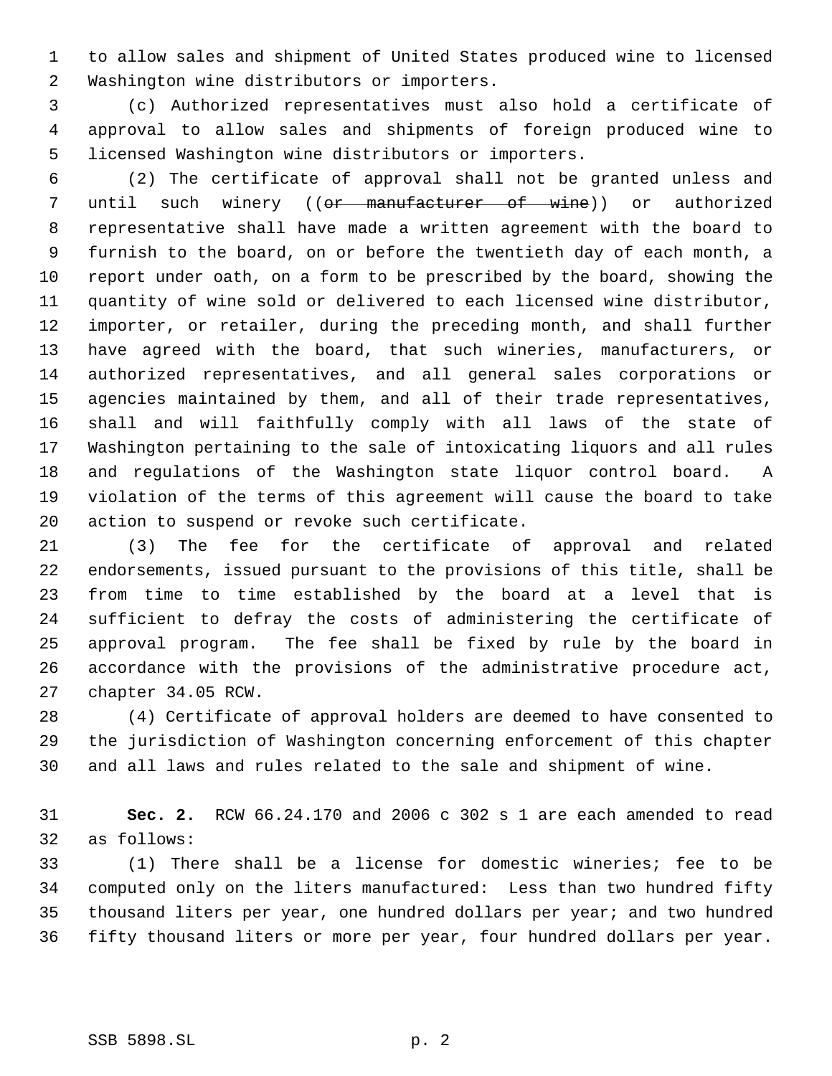to allow sales and shipment of United States produced wine to licensed Washington wine distributors or importers.

 (c) Authorized representatives must also hold a certificate of approval to allow sales and shipments of foreign produced wine to licensed Washington wine distributors or importers.

 (2) The certificate of approval shall not be granted unless and 7 until such winery ((or manufacturer of wine)) or authorized representative shall have made a written agreement with the board to furnish to the board, on or before the twentieth day of each month, a report under oath, on a form to be prescribed by the board, showing the quantity of wine sold or delivered to each licensed wine distributor, importer, or retailer, during the preceding month, and shall further have agreed with the board, that such wineries, manufacturers, or authorized representatives, and all general sales corporations or agencies maintained by them, and all of their trade representatives, shall and will faithfully comply with all laws of the state of Washington pertaining to the sale of intoxicating liquors and all rules and regulations of the Washington state liquor control board. A violation of the terms of this agreement will cause the board to take action to suspend or revoke such certificate.

 (3) The fee for the certificate of approval and related endorsements, issued pursuant to the provisions of this title, shall be from time to time established by the board at a level that is sufficient to defray the costs of administering the certificate of approval program. The fee shall be fixed by rule by the board in accordance with the provisions of the administrative procedure act, chapter 34.05 RCW.

 (4) Certificate of approval holders are deemed to have consented to the jurisdiction of Washington concerning enforcement of this chapter and all laws and rules related to the sale and shipment of wine.

 **Sec. 2.** RCW 66.24.170 and 2006 c 302 s 1 are each amended to read as follows:

 (1) There shall be a license for domestic wineries; fee to be computed only on the liters manufactured: Less than two hundred fifty thousand liters per year, one hundred dollars per year; and two hundred fifty thousand liters or more per year, four hundred dollars per year.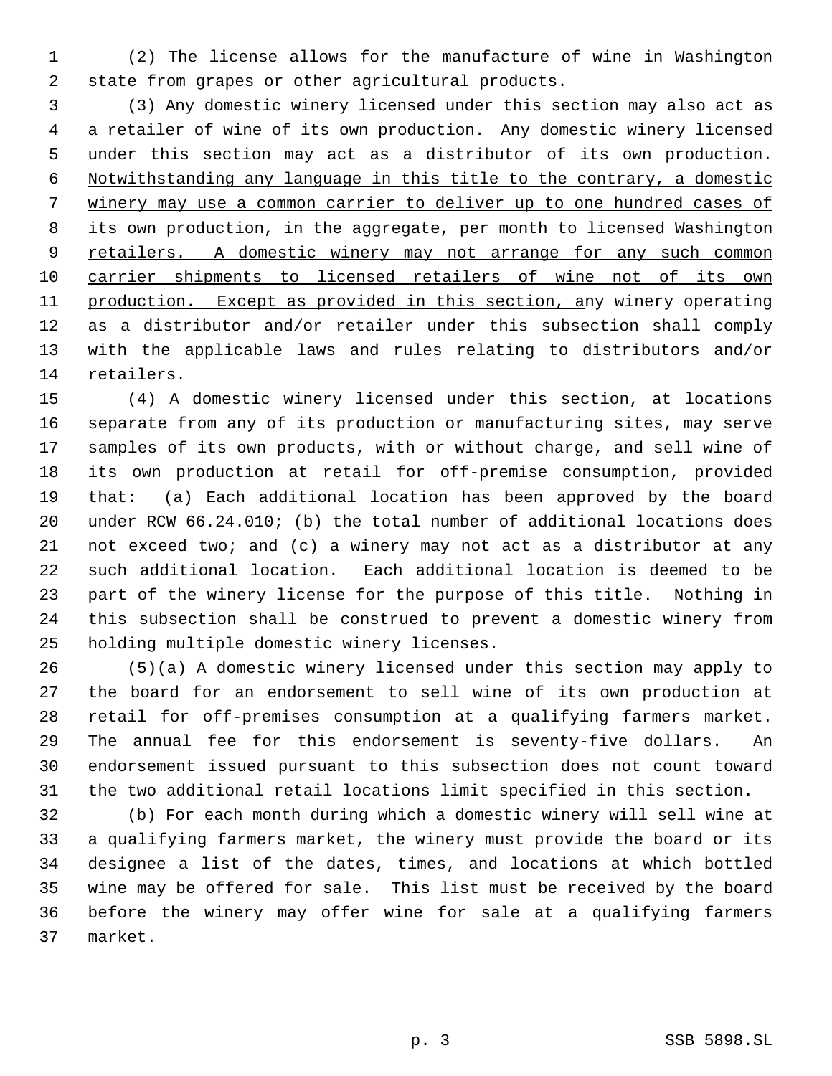(2) The license allows for the manufacture of wine in Washington state from grapes or other agricultural products.

 (3) Any domestic winery licensed under this section may also act as a retailer of wine of its own production. Any domestic winery licensed under this section may act as a distributor of its own production. Notwithstanding any language in this title to the contrary, a domestic winery may use a common carrier to deliver up to one hundred cases of 8 its own production, in the aggregate, per month to licensed Washington 9 retailers. A domestic winery may not arrange for any such common carrier shipments to licensed retailers of wine not of its own production. Except as provided in this section, any winery operating as a distributor and/or retailer under this subsection shall comply with the applicable laws and rules relating to distributors and/or retailers.

 (4) A domestic winery licensed under this section, at locations separate from any of its production or manufacturing sites, may serve samples of its own products, with or without charge, and sell wine of its own production at retail for off-premise consumption, provided that: (a) Each additional location has been approved by the board under RCW 66.24.010; (b) the total number of additional locations does not exceed two; and (c) a winery may not act as a distributor at any such additional location. Each additional location is deemed to be part of the winery license for the purpose of this title. Nothing in this subsection shall be construed to prevent a domestic winery from holding multiple domestic winery licenses.

 (5)(a) A domestic winery licensed under this section may apply to the board for an endorsement to sell wine of its own production at retail for off-premises consumption at a qualifying farmers market. The annual fee for this endorsement is seventy-five dollars. An endorsement issued pursuant to this subsection does not count toward the two additional retail locations limit specified in this section.

 (b) For each month during which a domestic winery will sell wine at a qualifying farmers market, the winery must provide the board or its designee a list of the dates, times, and locations at which bottled wine may be offered for sale. This list must be received by the board before the winery may offer wine for sale at a qualifying farmers market.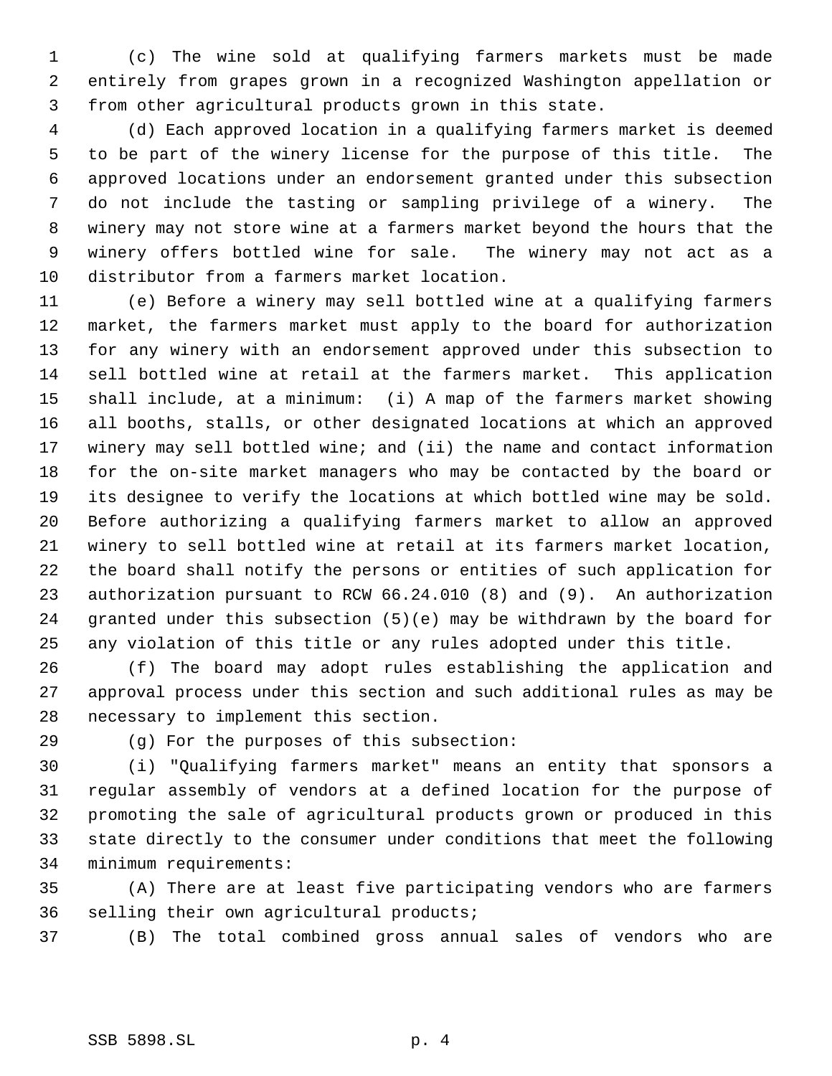(c) The wine sold at qualifying farmers markets must be made entirely from grapes grown in a recognized Washington appellation or from other agricultural products grown in this state.

 (d) Each approved location in a qualifying farmers market is deemed to be part of the winery license for the purpose of this title. The approved locations under an endorsement granted under this subsection do not include the tasting or sampling privilege of a winery. The winery may not store wine at a farmers market beyond the hours that the winery offers bottled wine for sale. The winery may not act as a distributor from a farmers market location.

 (e) Before a winery may sell bottled wine at a qualifying farmers market, the farmers market must apply to the board for authorization for any winery with an endorsement approved under this subsection to sell bottled wine at retail at the farmers market. This application shall include, at a minimum: (i) A map of the farmers market showing all booths, stalls, or other designated locations at which an approved winery may sell bottled wine; and (ii) the name and contact information for the on-site market managers who may be contacted by the board or its designee to verify the locations at which bottled wine may be sold. Before authorizing a qualifying farmers market to allow an approved winery to sell bottled wine at retail at its farmers market location, the board shall notify the persons or entities of such application for authorization pursuant to RCW 66.24.010 (8) and (9). An authorization granted under this subsection (5)(e) may be withdrawn by the board for any violation of this title or any rules adopted under this title.

 (f) The board may adopt rules establishing the application and approval process under this section and such additional rules as may be necessary to implement this section.

(g) For the purposes of this subsection:

 (i) "Qualifying farmers market" means an entity that sponsors a regular assembly of vendors at a defined location for the purpose of promoting the sale of agricultural products grown or produced in this state directly to the consumer under conditions that meet the following minimum requirements:

 (A) There are at least five participating vendors who are farmers selling their own agricultural products;

(B) The total combined gross annual sales of vendors who are